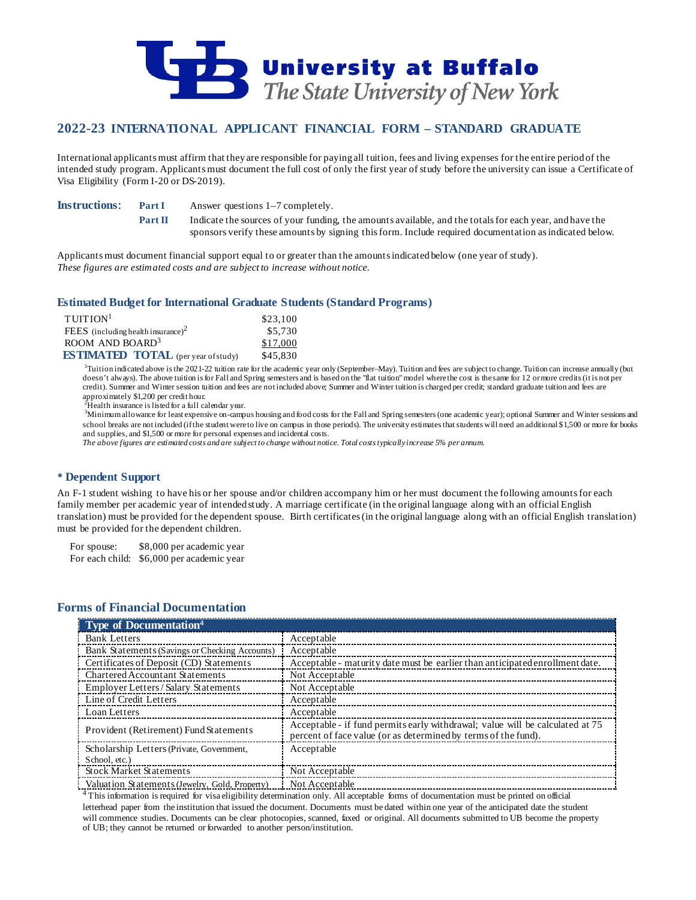

# **2022-23 INTERNATIONAL APPLICANT FINANCIAL FORM – STANDARD GRADUATE**

International applicants must affirm that they are responsible for paying all tuition, fees and living expenses for the entire period of the intended study program. Applicants must document the full cost of only the first year of study before the university can issue a Certificate of Visa Eligibility (Form I-20 or DS-2019).

**Instructions: Part I** Answer questions 1–7 completely.

**Part II** Indicate the sources of your funding, the amounts available, and the totals for each year, and have the sponsors verify these amounts by signing this form. Include required documentation as indicated below.

Applicants must document financial support equal to or greater than the amounts indicated below (one year of study). *These figures are estimated costs and are subject to increase without notice.*

### **Estimated Budget for International Graduate Students (Standard Programs)**

| $T$ UITION <sup>1</sup>                    | \$23,100 |
|--------------------------------------------|----------|
| FEES (including health insurance) $2$      | \$5,730  |
| ROOM AND BOARD <sup>3</sup>                | \$17,000 |
| <b>ESTIMATED TOTAL</b> (per year of study) | \$45,830 |

<sup>1</sup>Tuition indicated above is the 2021-22 tuition rate for the academic year only (September–May). Tuition and fees are subject to change. Tuition can increase annually (but doesn't always). The above tuition is for Fall and Spring semesters and is based on the "flat tuition" model where the cost is the same for 12 or more credits (it is not per credit). Summer and Winter session tuition and fees are not included above; Summer and Winter tuition is charged per credit; standard graduate tuition and fees are approximately \$1,200 per credit hour. <sup>2</sup>

 ${}^{2}$ Health insurance is listed for a full calendar year.

<sup>3</sup>Minimum allowance for least expensive on-campus housing and food costs for the Fall and Spring semesters (one academic year); optional Summer and Winter sessions and school breaks are not included (if the student were to live on campus in those periods). The university estimates that students will need an additional \$1,500 or more for books and supplies, and \$1,500 or more for personal expenses and incidental costs.

*The above figures are estimated costs and are subject to change without notice. Total costs typically increase 5% per annum.*

### **Dependent Support**

An F-1 student wishing to have his or her spouse and/or children accompany him or her must document the following amounts for each family member per academic year of intended study. A marriage certificate (in the original language along with an official English translation) must be provided for the dependent spouse. Birth certificates (in the original language along with an official English translation) must be provided for the dependent children.

For spouse: \$8,000 per academic year For each child: \$6,000 per academic year

## **Forms of Financial Documentation**

| <b>Type of Documentation4</b>                  |                                                                                                                                                 |
|------------------------------------------------|-------------------------------------------------------------------------------------------------------------------------------------------------|
| <b>Bank Letters</b>                            | Acceptable                                                                                                                                      |
| Bank Statements (Savings or Checking Accounts) | Acceptable                                                                                                                                      |
| Certificates of Deposit (CD) Statements        | Acceptable - maturity date must be earlier than anticipated enrollment date.                                                                    |
| <b>Chartered Accountant Statements</b>         | Not Acceptable                                                                                                                                  |
| Employer Letters / Salary Statements           | Not Acceptable                                                                                                                                  |
| Line of Credit Letters                         | Acceptable                                                                                                                                      |
| Loan Letters                                   | Acceptable                                                                                                                                      |
| Provident (Retirement) Fund Statements         | Acceptable - if fund permits early withdrawal; value will be calculated at 75<br>percent of face value (or as determined by terms of the fund). |
| Scholarship Letters (Private, Government,      | Acceptable                                                                                                                                      |
| School, etc.)                                  |                                                                                                                                                 |
| <b>Stock Market Statements</b>                 | Not Acceptable                                                                                                                                  |
| Valuation Statements (Jewelry, Gold, Property) | Not Acceptable                                                                                                                                  |

 $4$  This information is required for visa eligibility determination only. All acceptable forms of documentation must be printed on official letterhead paper from the institution that issued the document. Documents must be dated within one year of the anticipated date the student will commence studies. Documents can be clear photocopies, scanned, faxed or original. All documents submitted to UB become the property of UB; they cannot be returned or forwarded to another person/institution.